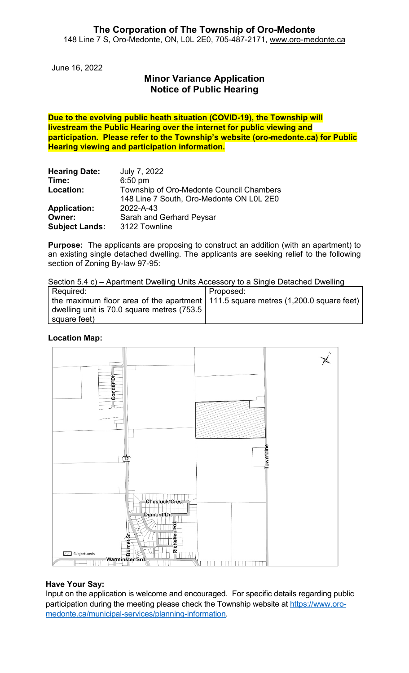June 16, 2022

# **Minor Variance Application Notice of Public Hearing**

**Due to the evolving public heath situation (COVID-19), the Township will livestream the Public Hearing over the internet for public viewing and participation. Please refer to the Township's website (oro-medonte.ca) for Public Hearing viewing and participation information.**

| <b>Hearing Date:</b>  | July 7, 2022                             |
|-----------------------|------------------------------------------|
| Time:                 | $6:50$ pm                                |
| Location:             | Township of Oro-Medonte Council Chambers |
|                       | 148 Line 7 South, Oro-Medonte ON L0L 2E0 |
| <b>Application:</b>   | 2022-A-43                                |
| Owner:                | Sarah and Gerhard Peysar                 |
| <b>Subject Lands:</b> | 3122 Townline                            |

**Purpose:** The applicants are proposing to construct an addition (with an apartment) to an existing single detached dwelling. The applicants are seeking relief to the following section of Zoning By-law 97-95:

Section 5.4 c) – Apartment Dwelling Units Accessory to a Single Detached Dwelling

| Required:                                                                             | Proposed: |
|---------------------------------------------------------------------------------------|-----------|
| the maximum floor area of the apartment   111.5 square metres $(1,200.0$ square feet) |           |
| dwelling unit is 70.0 square metres (753.5 '                                          |           |
| square feet)                                                                          |           |

#### **Location Map:**



#### **Have Your Say:**

Input on the application is welcome and encouraged. For specific details regarding public participation during the meeting please check the Township website at [https://www.oro](https://www.oro-medonte.ca/municipal-services/planning-information)[medonte.ca/municipal-services/planning-information.](https://www.oro-medonte.ca/municipal-services/planning-information)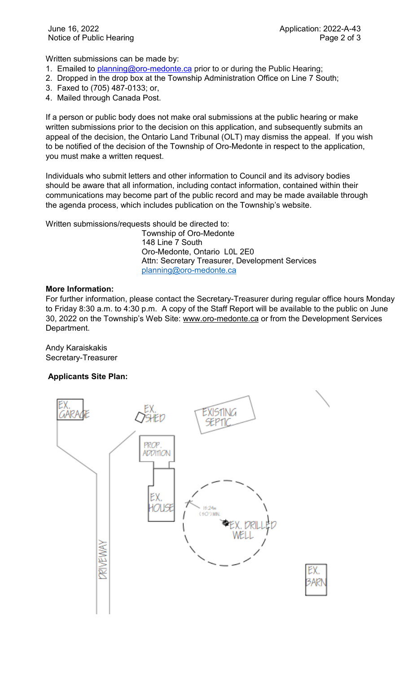Written submissions can be made by:

- 1. Emailed to **planning@oro-medonte.ca** prior to or during the Public Hearing;
- 2. Dropped in the drop box at the Township Administration Office on Line 7 South;
- 3. Faxed to (705) 487-0133; or,
- 4. Mailed through Canada Post.

If a person or public body does not make oral submissions at the public hearing or make written submissions prior to the decision on this application, and subsequently submits an appeal of the decision, the Ontario Land Tribunal (OLT) may dismiss the appeal. If you wish to be notified of the decision of the Township of Oro-Medonte in respect to the application, you must make a written request.

Individuals who submit letters and other information to Council and its advisory bodies should be aware that all information, including contact information, contained within their communications may become part of the public record and may be made available through the agenda process, which includes publication on the Township's website.

Written submissions/requests should be directed to:

Township of Oro-Medonte 148 Line 7 South Oro-Medonte, Ontario L0L 2E0 Attn: Secretary Treasurer, Development Services [planning@oro-medonte.ca](mailto:planning@oro-medonte.ca)

#### **More Information:**

For further information, please contact the Secretary-Treasurer during regular office hours Monday to Friday 8:30 a.m. to 4:30 p.m. A copy of the Staff Report will be available to the public on June 30, 2022 on the Township's Web Site: [www.oro-medonte.ca](http://www.oro-medonte.ca/) or from the Development Services Department.

Andy Karaiskakis Secretary-Treasurer

## **Applicants Site Plan:**